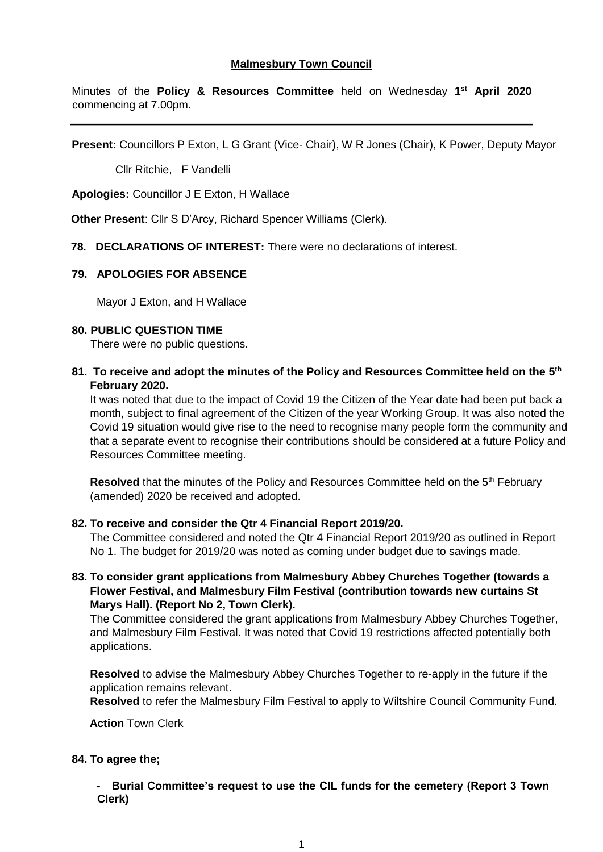Minutes of the **Policy & Resources Committee** held on Wednesday **1 st April 2020** commencing at 7.00pm.

**Present:** Councillors P Exton, L G Grant (Vice- Chair), W R Jones (Chair), K Power, Deputy Mayor

Cllr Ritchie, F Vandelli

**Apologies:** Councillor J E Exton, H Wallace

**Other Present**: Cllr S D'Arcy, Richard Spencer Williams (Clerk).

 **78. DECLARATIONS OF INTEREST:** There were no declarations of interest.

## **79. APOLOGIES FOR ABSENCE**

Mayor J Exton, and H Wallace

### **80. PUBLIC QUESTION TIME**

There were no public questions.

**81. To receive and adopt the minutes of the Policy and Resources Committee held on the 5 th February 2020.**

It was noted that due to the impact of Covid 19 the Citizen of the Year date had been put back a month, subject to final agreement of the Citizen of the year Working Group. It was also noted the Covid 19 situation would give rise to the need to recognise many people form the community and that a separate event to recognise their contributions should be considered at a future Policy and Resources Committee meeting.

**Resolved** that the minutes of the Policy and Resources Committee held on the 5<sup>th</sup> February (amended) 2020 be received and adopted.

### **82. To receive and consider the Qtr 4 Financial Report 2019/20.**

The Committee considered and noted the Qtr 4 Financial Report 2019/20 as outlined in Report No 1. The budget for 2019/20 was noted as coming under budget due to savings made.

**83. To consider grant applications from Malmesbury Abbey Churches Together (towards a Flower Festival, and Malmesbury Film Festival (contribution towards new curtains St Marys Hall). (Report No 2, Town Clerk).**

The Committee considered the grant applications from Malmesbury Abbey Churches Together, and Malmesbury Film Festival. It was noted that Covid 19 restrictions affected potentially both applications.

**Resolved** to advise the Malmesbury Abbey Churches Together to re-apply in the future if the application remains relevant.

**Resolved** to refer the Malmesbury Film Festival to apply to Wiltshire Council Community Fund.

 **Action** Town Clerk

### **84. To agree the;**

**- Burial Committee's request to use the CIL funds for the cemetery (Report 3 Town Clerk)**